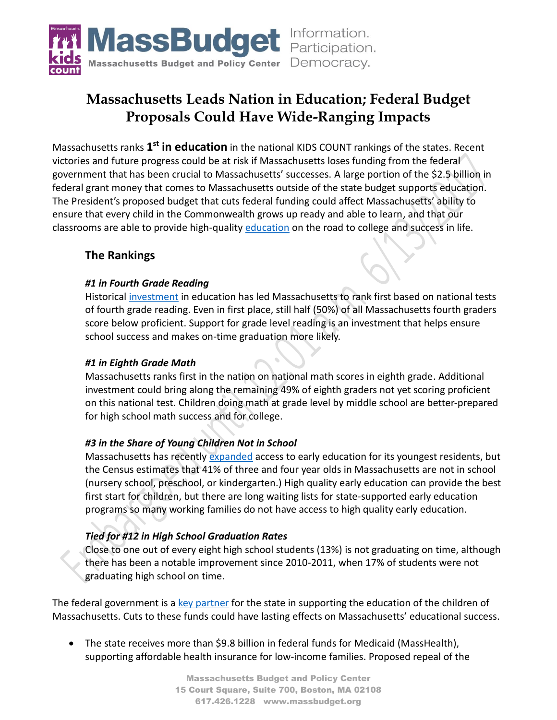

# **Massachusetts Leads Nation in Education; Federal Budget Proposals Could Have Wide-Ranging Impacts**

Massachusetts ranks **1 st in education** in the national KIDS COUNT rankings of the states. Recent victories and future progress could be at risk if Massachusetts loses funding from the federal government that has been crucial to Massachusetts' successes. A large portion of the \$2.5 billion in federal grant money that comes to Massachusetts outside of the state budget supports education. The President's proposed budget that cuts federal funding could affect Massachusetts' ability to ensure that every child in the Commonwealth grows up ready and able to learn, and that our classrooms are able to provide high-quality [education](http://expandingopportunity.org/) on the road to college and success in life.

# **The Rankings**

#### *#1 in Fourth Grade Reading*

Historical [investment](http://massbudget.org/report_window.php?loc=ed_reform_twenty.html) in education has led Massachusetts to rank first based on national tests of fourth grade reading. Even in first place, still half (50%) of all Massachusetts fourth graders score below proficient. Support for grade level reading is an investment that helps ensure school success and makes on-time graduation more likely.

#### *#1 in Eighth Grade Math*

Massachusetts ranks first in the nation on national math scores in eighth grade. Additional investment could bring along the remaining 49% of eighth graders not yet scoring proficient on this national test. Children doing math at grade level by middle school are better-prepared for high school math success and for college.

## *#3 in the Share of Young Children Not in School*

Massachusetts has recently [expanded](http://massbudget.org/browser/subcat.php?c1=13&c2=17&id=Early+Education+%26+Care&inflation=cpi&budgets=518b17b16b15b14b13b12b11b10b9b8b7b6b5b4b3b2b1#comparisons) access to early education for its youngest residents, but the Census estimates that 41% of three and four year olds in Massachusetts are not in school (nursery school, preschool, or kindergarten.) High quality early education can provide the best first start for children, but there are long waiting lists for state-supported early education programs so many working families do not have access to high quality early education.

## *Tied for #12 in High School Graduation Rates*

Close to one out of every eight high school students (13%) is not graduating on time, although there has been a notable improvement since 2010-2011, when 17% of students were not graduating high school on time.

The federal government is a [key partner](http://massbudget.org/report_window.php?loc=Partnership-in-Peril-Federal-Funding-at-Risk.html) for the state in supporting the education of the children of Massachusetts. Cuts to these funds could have lasting effects on Massachusetts' educational success.

• The state receives more than \$9.8 billion in federal funds for Medicaid (MassHealth), supporting affordable health insurance for low-income families. Proposed repeal of the